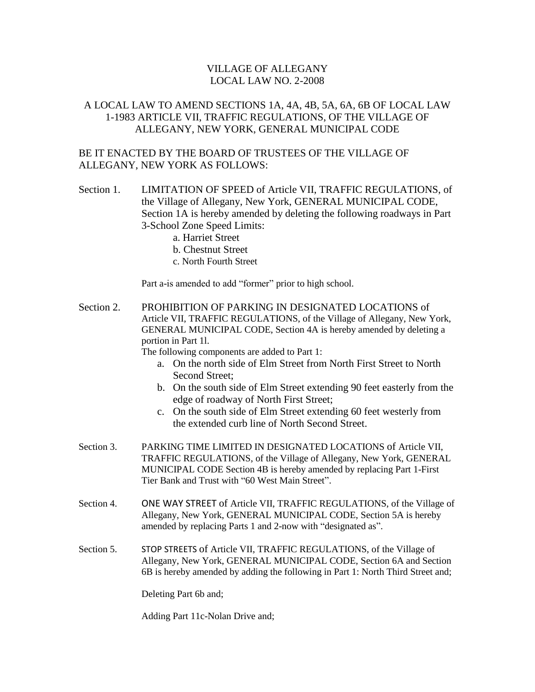## VILLAGE OF ALLEGANY LOCAL LAW NO. 2-2008

## A LOCAL LAW TO AMEND SECTIONS 1A, 4A, 4B, 5A, 6A, 6B OF LOCAL LAW 1-1983 ARTICLE VII, TRAFFIC REGULATIONS, OF THE VILLAGE OF ALLEGANY, NEW YORK, GENERAL MUNICIPAL CODE

## BE IT ENACTED BY THE BOARD OF TRUSTEES OF THE VILLAGE OF ALLEGANY, NEW YORK AS FOLLOWS:

- Section 1. LIMITATION OF SPEED of Article VII, TRAFFIC REGULATIONS, of the Village of Allegany, New York, GENERAL MUNICIPAL CODE, Section 1A is hereby amended by deleting the following roadways in Part 3-School Zone Speed Limits:
	- a. Harriet Street
	- b. Chestnut Street
	- c. North Fourth Street

Part a-is amended to add "former" prior to high school.

Section 2. PROHIBITION OF PARKING IN DESIGNATED LOCATIONS of Article VII, TRAFFIC REGULATIONS, of the Village of Allegany, New York, GENERAL MUNICIPAL CODE, Section 4A is hereby amended by deleting a portion in Part 1l.

The following components are added to Part 1:

- a. On the north side of Elm Street from North First Street to North Second Street;
- b. On the south side of Elm Street extending 90 feet easterly from the edge of roadway of North First Street;
- c. On the south side of Elm Street extending 60 feet westerly from the extended curb line of North Second Street.
- Section 3. PARKING TIME LIMITED IN DESIGNATED LOCATIONS of Article VII, TRAFFIC REGULATIONS, of the Village of Allegany, New York, GENERAL MUNICIPAL CODE Section 4B is hereby amended by replacing Part 1-First Tier Bank and Trust with "60 West Main Street".
- Section 4. ONE WAY STREET of Article VII, TRAFFIC REGULATIONS, of the Village of Allegany, New York, GENERAL MUNICIPAL CODE, Section 5A is hereby amended by replacing Parts 1 and 2-now with "designated as".
- Section 5. STOP STREETS of Article VII, TRAFFIC REGULATIONS, of the Village of Allegany, New York, GENERAL MUNICIPAL CODE, Section 6A and Section 6B is hereby amended by adding the following in Part 1: North Third Street and;

Deleting Part 6b and;

Adding Part 11c-Nolan Drive and;